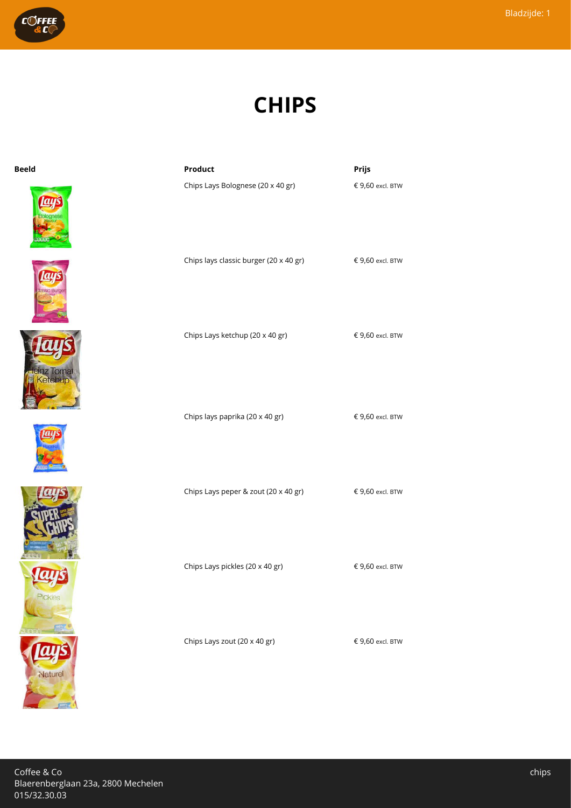

## **CHIPS**



| <b>Beeld</b> | Product                                | Prijs            |
|--------------|----------------------------------------|------------------|
|              | Chips Lays Bolognese (20 x 40 gr)      | € 9,60 excl. BTW |
|              | Chips lays classic burger (20 x 40 gr) | € 9,60 excl. BTW |
|              | Chips Lays ketchup (20 x 40 gr)        | € 9,60 excl. BTW |
|              | Chips lays paprika (20 x 40 gr)        | € 9,60 excl. BTW |

Chips Lays peper & zout (20 x 40 gr)  $\epsilon$  9,60 excl. BTW

Chips Lays pickles (20 x 40 gr)  $\epsilon$  9,60 excl. BTW

Chips Lays zout (20 x 40 gr)  $\epsilon$  9,60 excl. BTW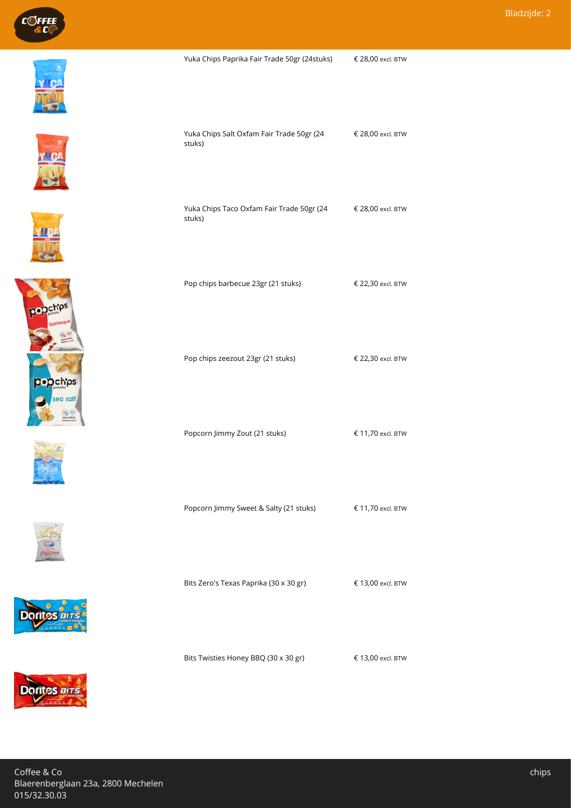



















Yuka Chips Paprika Fair Trade 50gr (24stuks) € 28,00 excl. BTW

Pop chips barbecue 23gr (21 stuks) € 22,30 excl. BTW

€ 28,00 excl. BTW

€ 28,00 excl. BTW

Yuka Chips Salt Oxfam Fair Trade 50gr (24

Yuka Chips Taco Oxfam Fair Trade 50gr (24

stuks)

stuks)

| Bits Zero's Texas Paprika (30 x 30 gr) | € 13,00 excl. BTW |
|----------------------------------------|-------------------|
|                                        |                   |

Bits Twisties Honey BBQ (30 x 30 gr)  $\epsilon$  13,00 excl. BTW